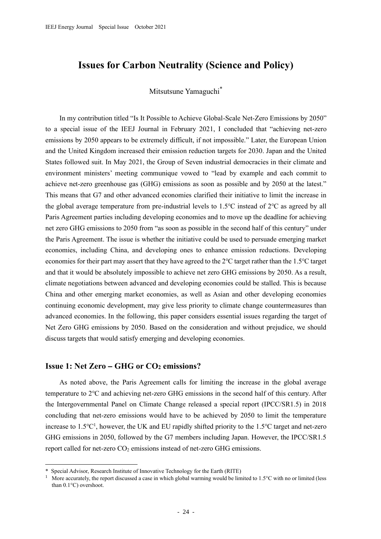# **Issues for Carbon Neutrality (Science and Policy)**

## Mitsutsune Yamaguchi\*

In my contribution titled "Is It Possible to Achieve Global-Scale Net-Zero Emissions by 2050" to a special issue of the IEEJ Journal in February 2021, I concluded that "achieving net-zero emissions by 2050 appears to be extremely difficult, if not impossible." Later, the European Union and the United Kingdom increased their emission reduction targets for 2030. Japan and the United States followed suit. In May 2021, the Group of Seven industrial democracies in their climate and environment ministers' meeting communique vowed to "lead by example and each commit to achieve net-zero greenhouse gas (GHG) emissions as soon as possible and by 2050 at the latest." This means that G7 and other advanced economies clarified their initiative to limit the increase in the global average temperature from pre-industrial levels to 1.5℃ instead of 2℃ as agreed by all Paris Agreement parties including developing economies and to move up the deadline for achieving net zero GHG emissions to 2050 from "as soon as possible in the second half of this century" under the Paris Agreement. The issue is whether the initiative could be used to persuade emerging market economies, including China, and developing ones to enhance emission reductions. Developing economies for their part may assert that they have agreed to the 2℃ target rather than the 1.5℃ target and that it would be absolutely impossible to achieve net zero GHG emissions by 2050. As a result, climate negotiations between advanced and developing economies could be stalled. This is because China and other emerging market economies, as well as Asian and other developing economies continuing economic development, may give less priority to climate change countermeasures than advanced economies. In the following, this paper considers essential issues regarding the target of Net Zero GHG emissions by 2050. Based on the consideration and without prejudice, we should discuss targets that would satisfy emerging and developing economies.

### **Issue 1: Net Zero – GHG or CO<sup>2</sup> emissions?**

As noted above, the Paris Agreement calls for limiting the increase in the global average temperature to 2℃ and achieving net-zero GHG emissions in the second half of this century. After the Intergovernmental Panel on Climate Change released a special report (IPCC/SR1.5) in 2018 concluding that net-zero emissions would have to be achieved by 2050 to limit the temperature increase to 1.5 $\mathrm{C}^1$ , however, the UK and EU rapidly shifted priority to the 1.5 $\mathrm{C}$  target and net-zero GHG emissions in 2050, followed by the G7 members including Japan. However, the IPCC/SR1.5 report called for net-zero  $CO<sub>2</sub>$  emissions instead of net-zero GHG emissions.

Special Advisor, Research Institute of Innovative Technology for the Earth (RITE)

More accurately, the report discussed a case in which global warming would be limited to 1.5°C with no or limited (less than 0.1°C) overshoot.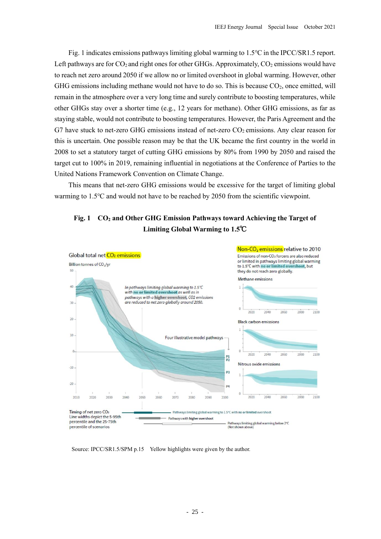Fig. 1 indicates emissions pathways limiting global warming to 1.5℃ in the IPCC/SR1.5 report. Left pathways are for  $CO_2$  and right ones for other GHGs. Approximately,  $CO_2$  emissions would have to reach net zero around 2050 if we allow no or limited overshoot in global warming. However, other GHG emissions including methane would not have to do so. This is because  $CO<sub>2</sub>$ , once emitted, will remain in the atmosphere over a very long time and surely contribute to boosting temperatures, while other GHGs stay over a shorter time (e.g., 12 years for methane). Other GHG emissions, as far as staying stable, would not contribute to boosting temperatures. However, the Paris Agreement and the G7 have stuck to net-zero GHG emissions instead of net-zero  $CO<sub>2</sub>$  emissions. Any clear reason for this is uncertain. One possible reason may be that the UK became the first country in the world in 2008 to set a statutory target of cutting GHG emissions by 80% from 1990 by 2050 and raised the target cut to 100% in 2019, remaining influential in negotiations at the Conference of Parties to the United Nations Framework Convention on Climate Change.

This means that net-zero GHG emissions would be excessive for the target of limiting global warming to 1.5℃ and would not have to be reached by 2050 from the scientific viewpoint.





Source: IPCC/SR1.5/SPM p.15 Yellow highlights were given by the author.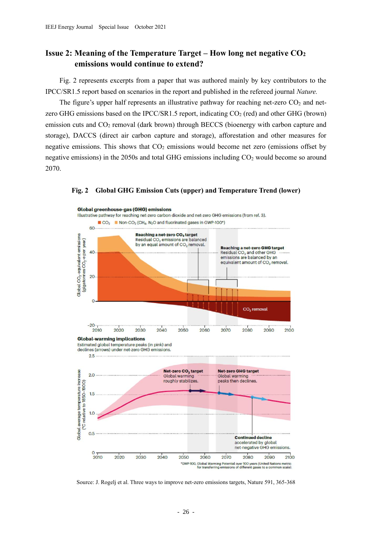## **Issue 2: Meaning of the Temperature Target – How long net negative CO<sup>2</sup> emissions would continue to extend?**

Fig. 2 represents excerpts from a paper that was authored mainly by key contributors to the IPCC/SR1.5 report based on scenarios in the report and published in the refereed journal *Nature.*

The figure's upper half represents an illustrative pathway for reaching net-zero  $CO<sub>2</sub>$  and netzero GHG emissions based on the IPCC/SR1.5 report, indicating  $CO<sub>2</sub>$  (red) and other GHG (brown) emission cuts and  $CO<sub>2</sub>$  removal (dark brown) through BECCS (bioenergy with carbon capture and storage), DACCS (direct air carbon capture and storage), afforestation and other measures for negative emissions. This shows that  $CO<sub>2</sub>$  emissions would become net zero (emissions offset by negative emissions) in the  $2050s$  and total GHG emissions including  $CO<sub>2</sub>$  would become so around 2070.



#### **Fig. 2 Global GHG Emission Cuts (upper) and Temperature Trend (lower)**

Source: J. Rogelj et al. Three ways to improve net-zero emissions targets, Nature 591, 365-368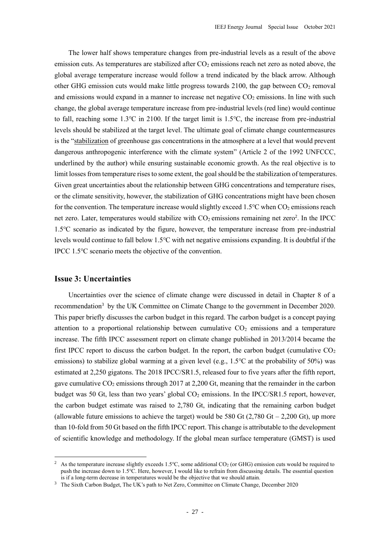The lower half shows temperature changes from pre-industrial levels as a result of the above emission cuts. As temperatures are stabilized after  $CO<sub>2</sub>$  emissions reach net zero as noted above, the global average temperature increase would follow a trend indicated by the black arrow. Although other GHG emission cuts would make little progress towards 2100, the gap between  $CO<sub>2</sub>$  removal and emissions would expand in a manner to increase net negative  $CO<sub>2</sub>$  emissions. In line with such change, the global average temperature increase from pre-industrial levels (red line) would continue to fall, reaching some 1.3℃ in 2100. If the target limit is 1.5℃, the increase from pre-industrial levels should be stabilized at the target level. The ultimate goal of climate change countermeasures is the "stabilization of greenhouse gas concentrations in the atmosphere at a level that would prevent dangerous anthropogenic interference with the climate system" (Article 2 of the 1992 UNFCCC, underlined by the author) while ensuring sustainable economic growth. As the real objective is to limit losses from temperature rises to some extent, the goal should be the stabilization of temperatures. Given great uncertainties about the relationship between GHG concentrations and temperature rises, or the climate sensitivity, however, the stabilization of GHG concentrations might have been chosen for the convention. The temperature increase would slightly exceed  $1.5^{\circ}$ C when CO<sub>2</sub> emissions reach net zero. Later, temperatures would stabilize with  $CO<sub>2</sub>$  emissions remaining net zero<sup>2</sup>. In the IPCC 1.5℃ scenario as indicated by the figure, however, the temperature increase from pre-industrial levels would continue to fall below 1.5℃ with net negative emissions expanding. It is doubtful if the IPCC 1.5℃ scenario meets the objective of the convention.

### **Issue 3: Uncertainties**

Uncertainties over the science of climate change were discussed in detail in Chapter 8 of a recommendation<sup>3</sup> by the UK Committee on Climate Change to the government in December 2020. This paper briefly discusses the carbon budget in this regard. The carbon budget is a concept paying attention to a proportional relationship between cumulative  $CO<sub>2</sub>$  emissions and a temperature increase. The fifth IPCC assessment report on climate change published in 2013/2014 became the first IPCC report to discuss the carbon budget. In the report, the carbon budget (cumulative  $CO<sub>2</sub>$ emissions) to stabilize global warming at a given level (e.g., 1.5℃ at the probability of 50%) was estimated at 2,250 gigatons. The 2018 IPCC/SR1.5, released four to five years after the fifth report, gave cumulative  $CO_2$  emissions through 2017 at 2,200 Gt, meaning that the remainder in the carbon budget was 50 Gt, less than two years' global  $CO<sub>2</sub>$  emissions. In the IPCC/SR1.5 report, however, the carbon budget estimate was raised to 2,780 Gt, indicating that the remaining carbon budget (allowable future emissions to achieve the target) would be 580 Gt  $(2,780 \text{ Gt} - 2,200 \text{ Gt})$ , up more than 10-fold from 50 Gt based on the fifth IPCC report. This change is attributable to the development of scientific knowledge and methodology. If the global mean surface temperature (GMST) is used

<sup>&</sup>lt;sup>2</sup> As the temperature increase slightly exceeds 1.5°C, some additional CO<sub>2</sub> (or GHG) emission cuts would be required to push the increase down to 1.5℃. Here, however, I would like to refrain from discussing details. The essential question is if a long-term decrease in temperatures would be the objective that we should attain.

<sup>&</sup>lt;sup>3</sup> The Sixth Carbon Budget, The UK's path to Net Zero, Committee on Climate Change, December 2020